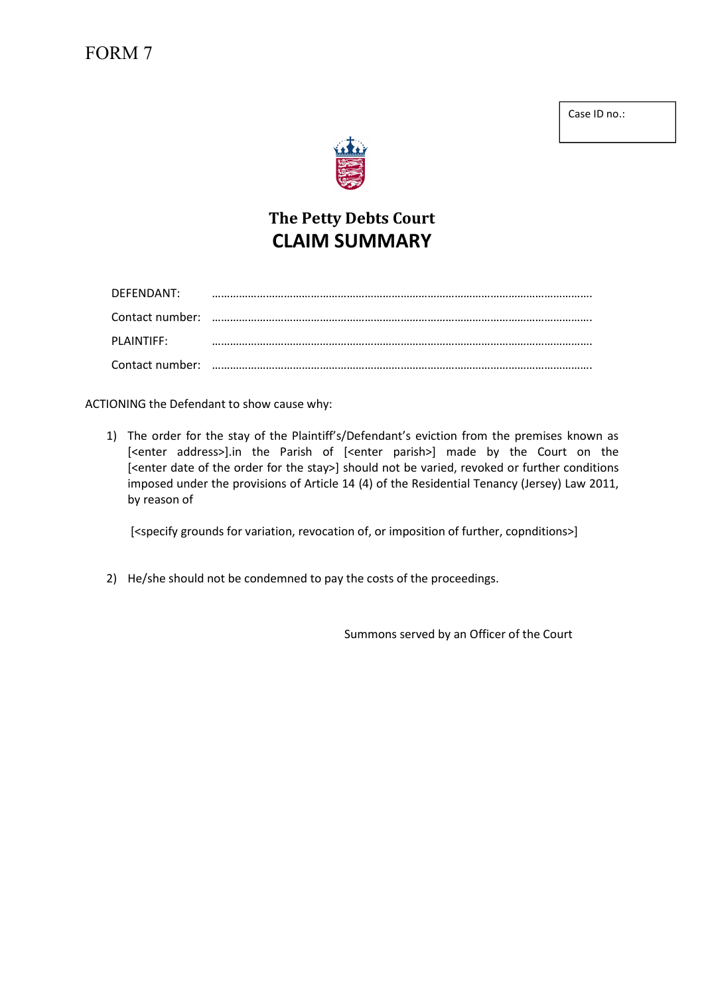## FORM 7

Case ID no.:



# The Petty Debts Court CLAIM SUMMARY

| DEFENDANT: |  |
|------------|--|
|            |  |
| PLAINTIFF: |  |
|            |  |

ACTIONING the Defendant to show cause why:

1) The order for the stay of the Plaintiff's/Defendant's eviction from the premises known as [<enter address>].in the Parish of [<enter parish>] made by the Court on the [<enter date of the order for the stay>] should not be varied, revoked or further conditions imposed under the provisions of Article 14 (4) of the Residential Tenancy (Jersey) Law 2011, by reason of

[<specify grounds for variation, revocation of, or imposition of further, copnditions>]

2) He/she should not be condemned to pay the costs of the proceedings.

Summons served by an Officer of the Court